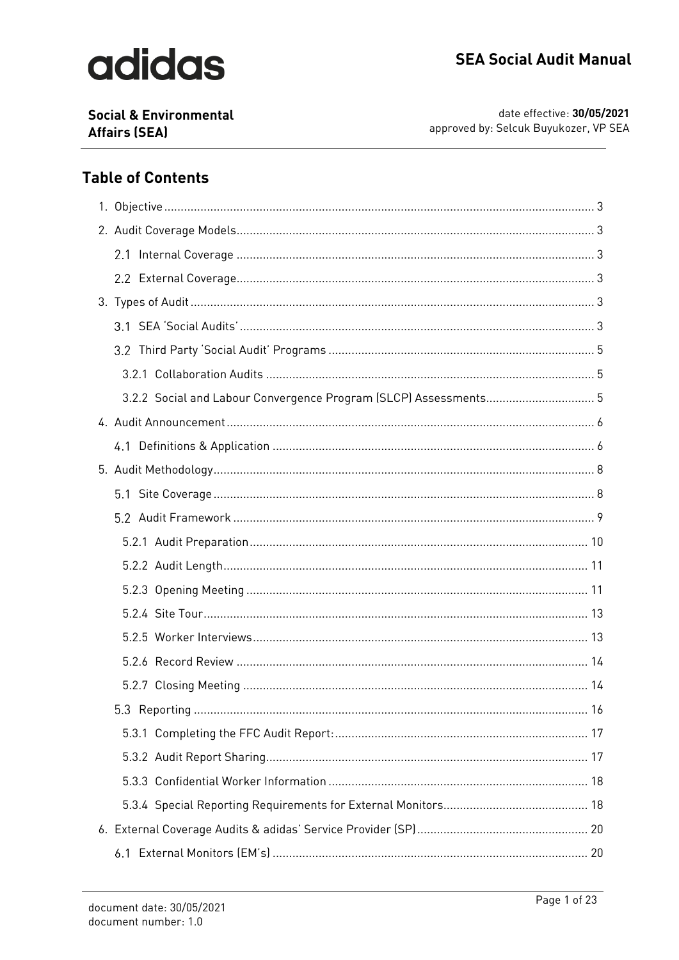# adidas

**Social & Environmental Affairs (SEA)** 

date effective: 30/05/2021 approved by: Selcuk Buyukozer, VP SEA

## **Table of Contents**

| 3.2.2 Social and Labour Convergence Program (SLCP) Assessments 5 |  |
|------------------------------------------------------------------|--|
|                                                                  |  |
|                                                                  |  |
|                                                                  |  |
|                                                                  |  |
|                                                                  |  |
|                                                                  |  |
|                                                                  |  |
|                                                                  |  |
|                                                                  |  |
|                                                                  |  |
|                                                                  |  |
|                                                                  |  |
|                                                                  |  |
|                                                                  |  |
|                                                                  |  |
|                                                                  |  |
|                                                                  |  |
|                                                                  |  |
|                                                                  |  |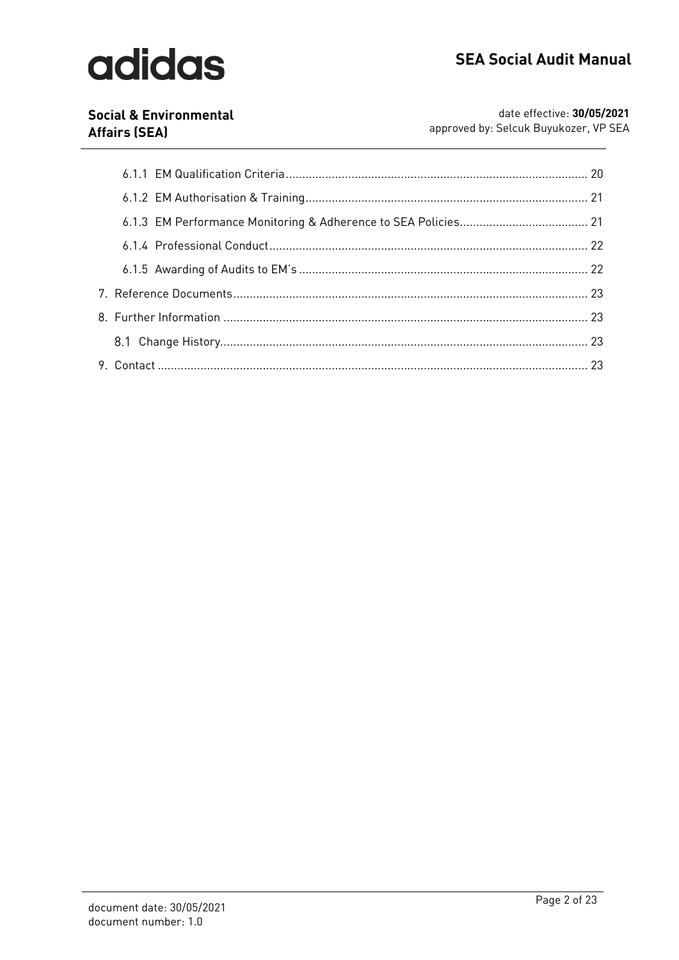# adidas

### **Social & Environmental Affairs (SEA)**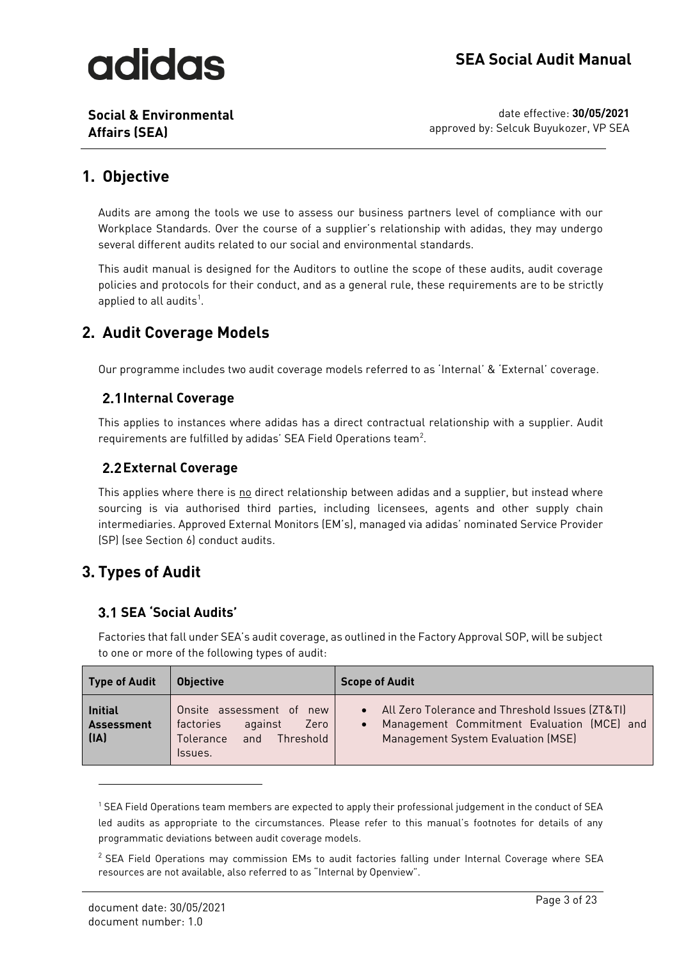**Social & Environmental Affairs (SEA)**

date effective: **30/05/2021** approved by: Selcuk Buyukozer, VP SEA

## <span id="page-2-0"></span>**1. Objective**

Audits are among the tools we use to assess our business partners level of compliance with our Workplace Standards. Over the course of a supplier's relationship with adidas, they may undergo several different audits related to our social and environmental standards.

This audit manual is designed for the Auditors to outline the scope of these audits, audit coverage policies and protocols for their conduct, and as a general rule, these requirements are to be strictly applied to all audits<sup>1</sup>.

## <span id="page-2-1"></span>**2. Audit Coverage Models**

Our programme includes two audit coverage models referred to as 'Internal' & 'External' coverage.

### <span id="page-2-2"></span>**2.1 Internal Coverage**

This applies to instances where adidas has a direct contractual relationship with a supplier. Audit requirements are fulfilled by adidas' SEA Field Operations team $^2$ .

### <span id="page-2-3"></span>**External Coverage**

This applies where there is no direct relationship between adidas and a supplier, but instead where sourcing is via authorised third parties, including licensees, agents and other supply chain intermediaries. Approved External Monitors (EM's), managed via adidas' nominated Service Provider (SP) (see Section 6) conduct audits.

## <span id="page-2-4"></span>**3. Types of Audit**

### <span id="page-2-5"></span>**SEA 'Social Audits'**

Factories that fall under SEA's audit coverage, as outlined in the Factory Approval SOP, will be subject to one or more of the following types of audit:

| <b>Type of Audit</b>                        | <b>Objective</b>                                                                                     | <b>Scope of Audit</b>                                                                                                                              |
|---------------------------------------------|------------------------------------------------------------------------------------------------------|----------------------------------------------------------------------------------------------------------------------------------------------------|
| <b>Initial</b><br><b>Assessment</b><br>[IA] | Onsite assessment of new<br>against<br>factories<br>Zero<br>Threshold<br>and<br>Tolerance<br>Issues. | • All Zero Tolerance and Threshold Issues (ZT&TI)<br>Management Commitment Evaluation (MCE) and<br>$\bullet$<br>Management System Evaluation (MSE) |

<sup>1</sup> SEA Field Operations team members are expected to apply their professional judgement in the conduct of SEA led audits as appropriate to the circumstances. Please refer to this manual's footnotes for details of any programmatic deviations between audit coverage models.

<sup>&</sup>lt;sup>2</sup> SEA Field Operations may commission EMs to audit factories falling under Internal Coverage where SEA resources are not available, also referred to as "Internal by Openview".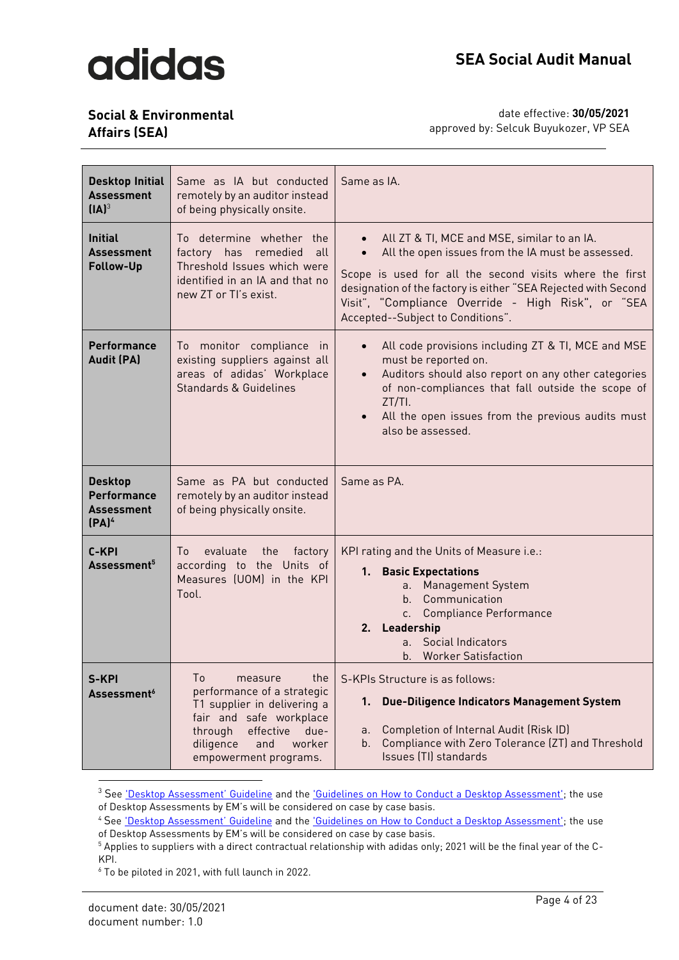## **Social & Environmental**

**Affairs (SEA)**

| <b>Desktop Initial</b><br><b>Assessment</b><br>$[IA]^3$                 | Same as IA but conducted<br>remotely by an auditor instead<br>of being physically onsite.                                                                                                           | Same as IA.                                                                                                                                                                                                                                                                                                              |  |
|-------------------------------------------------------------------------|-----------------------------------------------------------------------------------------------------------------------------------------------------------------------------------------------------|--------------------------------------------------------------------------------------------------------------------------------------------------------------------------------------------------------------------------------------------------------------------------------------------------------------------------|--|
| <b>Initial</b><br>Assessment<br>Follow-Up                               | To determine whether the<br>factory has remedied<br>all<br>Threshold Issues which were<br>identified in an IA and that no<br>new ZT or TI's exist.                                                  | All ZT & TI, MCE and MSE, similar to an IA.<br>All the open issues from the IA must be assessed.<br>Scope is used for all the second visits where the first<br>designation of the factory is either "SEA Rejected with Second<br>Visit", "Compliance Override - High Risk", or "SEA<br>Accepted--Subject to Conditions". |  |
| <b>Performance</b><br><b>Audit (PA)</b>                                 | To monitor compliance in<br>existing suppliers against all<br>areas of adidas' Workplace<br>Standards & Guidelines                                                                                  | All code provisions including ZT & TI, MCE and MSE<br>must be reported on.<br>Auditors should also report on any other categories<br>of non-compliances that fall outside the scope of<br>$ZT/TI$ .<br>All the open issues from the previous audits must<br>also be assessed.                                            |  |
| <b>Desktop</b><br>Performance<br><b>Assessment</b><br>(PA) <sup>4</sup> | Same as PA but conducted<br>remotely by an auditor instead<br>of being physically onsite.                                                                                                           | Same as PA.                                                                                                                                                                                                                                                                                                              |  |
| C-KPI<br>Assessment <sup>5</sup>                                        | evaluate<br>the<br>factory<br>Τo<br>according to the Units of<br>Measures (UOM) in the KPI<br>Tool.                                                                                                 | KPI rating and the Units of Measure i.e.:<br>1. Basic Expectations<br><b>Management System</b><br>$a_{\cdot}$<br>b. Communication<br>c. Compliance Performance<br>2. Leadership<br>Social Indicators<br>a <sub>1</sub><br><b>Worker Satisfaction</b><br>b.                                                               |  |
| S-KPI<br>Assessment <sup>6</sup>                                        | To<br>measure<br>the<br>performance of a strategic<br>T1 supplier in delivering a<br>fair and safe workplace<br>effective<br>through<br>due-<br>diligence<br>and<br>worker<br>empowerment programs. | S-KPIs Structure is as follows:<br>Due-Diligence Indicators Management System<br>1.<br>Completion of Internal Audit (Risk ID)<br>а.<br>Compliance with Zero Tolerance (ZT) and Threshold<br>b.<br>Issues (TI) standards                                                                                                  |  |

<sup>&</sup>lt;sup>3</sup> See ['Desktop Assessment' Guideline](https://adidasgroup.sharepoint.com/sites/SustainabilitySEA/Sustainability/Forms/AllItems.aspx?id=%2Fsites%2FSustainabilitySEA%2FSustainability%2F01%5FSEA%20Global%2FA01%5FSEA%20Policies%2C%20Procedures%20and%20Guidelines%2FAudit%20Manual%2FSEA%20%2D%20Desktop%20Assessment%20Guideline%20%28v1%2E1%20%2D%20Feb%202021%29%2Epdf&parent=%2Fsites%2FSustainabilitySEA%2FSustainability%2F01%5FSEA%20Global%2FA01%5FSEA%20Policies%2C%20Procedures%20and%20Guidelines%2FAudit%20Manual) and the 'Guidelines on [How to Conduct a Desktop Assessment';](https://eur01.safelinks.protection.outlook.com/ap/b-59584e83/?url=https%3A%2F%2Fadidasgroup.sharepoint.com%2F%3Ab%3A%2Fr%2Fsites%2FSustainabilitySEA%2FSustainability%2F01_SEA%2520Global%2FA01_SEA%2520Policies%2C%2520Procedures%2520and%2520Guidelines%2FAudit%2520Manual%2FGuidelines%2520on%2520How%2520to%2520Conduct%2520a%2520Desktop%2520Assessment%2520-%2520v%25201.0%2520Feb%25202021.pdf%3Fcsf%3D1%26web%3D1%26e%3DeS7oSm&data=04%7C01%7CChristopher.Buckley%40adidas-group.com%7C948328458d8b4f6dcd4d08d8d41e225c%7C3bfeb222e42c4535aaceea6f7751369b%7C0%7C0%7C637492573170449879%7CUnknown%7CTWFpbGZsb3d8eyJWIjoiMC4wLjAwMDAiLCJQIjoiV2luMzIiLCJBTiI6Ik1haWwiLCJXVCI6Mn0%3D%7C1000&sdata=bSrT%2BrtdpLpcr6oQbZkcPU3zKLa1v9uEiFqeqk7i4wU%3D&reserved=0) the use of Desktop Assessments by EM's will be considered on case by case basis.

<sup>&</sup>lt;sup>4</sup> See ['Desktop Assessment' Guid](https://adidasgroup.sharepoint.com/sites/SustainabilitySEA/Sustainability/Forms/AllItems.aspx?id=%2Fsites%2FSustainabilitySEA%2FSustainability%2F01%5FSEA%20Global%2FA01%5FSEA%20Policies%2C%20Procedures%20and%20Guidelines%2FAudit%20Manual%2FSEA%20%2D%20Desktop%20Assessment%20Guideline%20%28v1%2E1%20%2D%20Feb%202021%29%2Epdf&parent=%2Fsites%2FSustainabilitySEA%2FSustainability%2F01%5FSEA%20Global%2FA01%5FSEA%20Policies%2C%20Procedures%20and%20Guidelines%2FAudit%20Manual)eline and the ['Guidelines on How to Conduct a Desktop Assessment';](https://eur01.safelinks.protection.outlook.com/ap/b-59584e83/?url=https%3A%2F%2Fadidasgroup.sharepoint.com%2F%3Ab%3A%2Fr%2Fsites%2FSustainabilitySEA%2FSustainability%2F01_SEA%2520Global%2FA01_SEA%2520Policies%2C%2520Procedures%2520and%2520Guidelines%2FAudit%2520Manual%2FGuidelines%2520on%2520How%2520to%2520Conduct%2520a%2520Desktop%2520Assessment%2520-%2520v%25201.0%2520Feb%25202021.pdf%3Fcsf%3D1%26web%3D1%26e%3DeS7oSm&data=04%7C01%7CChristopher.Buckley%40adidas-group.com%7C948328458d8b4f6dcd4d08d8d41e225c%7C3bfeb222e42c4535aaceea6f7751369b%7C0%7C0%7C637492573170449879%7CUnknown%7CTWFpbGZsb3d8eyJWIjoiMC4wLjAwMDAiLCJQIjoiV2luMzIiLCJBTiI6Ik1haWwiLCJXVCI6Mn0%3D%7C1000&sdata=bSrT%2BrtdpLpcr6oQbZkcPU3zKLa1v9uEiFqeqk7i4wU%3D&reserved=0) the use of Desktop Assessments by EM's will be considered on case by case basis.

<sup>5</sup> Applies to suppliers with a direct contractual relationship with adidas only; 2021 will be the final year of the C-KPI.

<sup>6</sup> To be piloted in 2021, with full launch in 2022.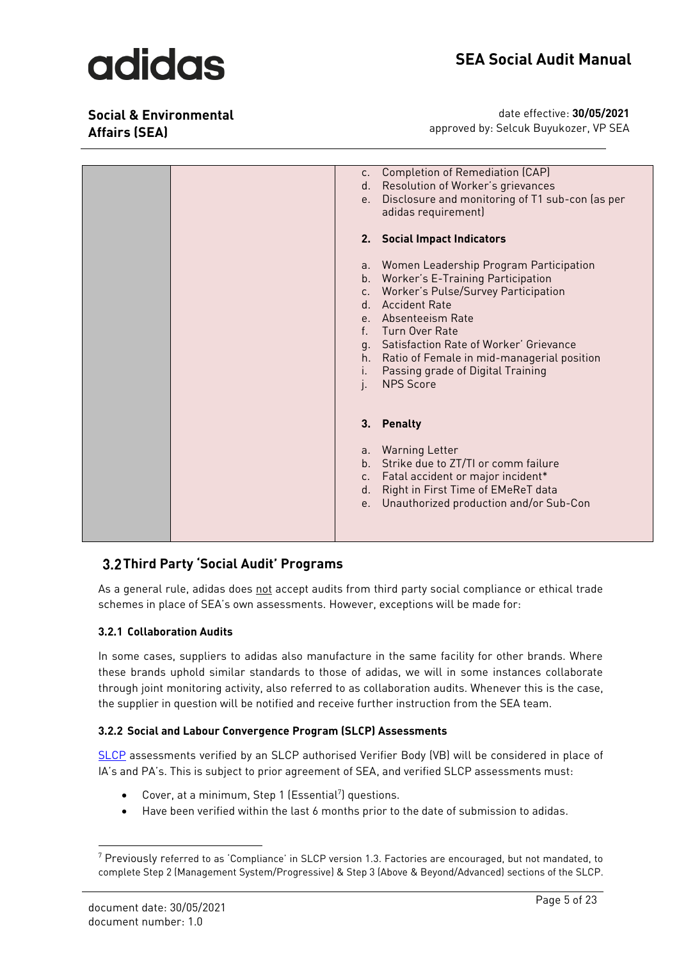### **Social & Environmental Affairs (SEA)**

date effective: **30/05/2021** approved by: Selcuk Buyukozer, VP SEA

|  | $C_{\star}$<br>d.<br>e.       | Completion of Remediation (CAP)<br>Resolution of Worker's grievances<br>Disclosure and monitoring of T1 sub-con (as per<br>adidas requirement)                                                                                                                                                                                                     |
|--|-------------------------------|----------------------------------------------------------------------------------------------------------------------------------------------------------------------------------------------------------------------------------------------------------------------------------------------------------------------------------------------------|
|  |                               | 2. Social Impact Indicators                                                                                                                                                                                                                                                                                                                        |
|  | i.<br>j.                      | a. Women Leadership Program Participation<br>b. Worker's E-Training Participation<br>c. Worker's Pulse/Survey Participation<br>d. Accident Rate<br>e. Absenteeism Rate<br>f. Turn Over Rate<br>g. Satisfaction Rate of Worker' Grievance<br>h. Ratio of Female in mid-managerial position<br>Passing grade of Digital Training<br><b>NPS Score</b> |
|  |                               | 3. Penalty                                                                                                                                                                                                                                                                                                                                         |
|  | b.<br>$C_{\star}$<br>d.<br>e. | a. Warning Letter<br>Strike due to ZT/TI or comm failure<br>Fatal accident or major incident*<br>Right in First Time of EMeReT data<br>Unauthorized production and/or Sub-Con                                                                                                                                                                      |

### <span id="page-4-0"></span>**Third Party 'Social Audit' Programs**

As a general rule, adidas does not accept audits from third party social compliance or ethical trade schemes in place of SEA's own assessments. However, exceptions will be made for:

#### <span id="page-4-1"></span>**3.2.1 Collaboration Audits**

In some cases, suppliers to adidas also manufacture in the same facility for other brands. Where these brands uphold similar standards to those of adidas, we will in some instances collaborate through joint monitoring activity, also referred to as collaboration audits. Whenever this is the case, the supplier in question will be notified and receive further instruction from the SEA team.

#### <span id="page-4-2"></span>**3.2.2 Social and Labour Convergence Program (SLCP) Assessments**

[SLCP](https://slconvergence.org/) assessments verified by an SLCP authorised Verifier Body (VB) will be considered in place of IA's and PA's. This is subject to prior agreement of SEA, and verified SLCP assessments must:

- Cover, at a minimum, Step 1 (Essential<sup>7</sup>) questions.
- Have been verified within the last 6 months prior to the date of submission to adidas.

<sup>7</sup> Previously referred to as 'Compliance' in SLCP version 1.3. Factories are encouraged, but not mandated, to complete Step 2 (Management System/Progressive) & Step 3 (Above & Beyond/Advanced) sections of the SLCP.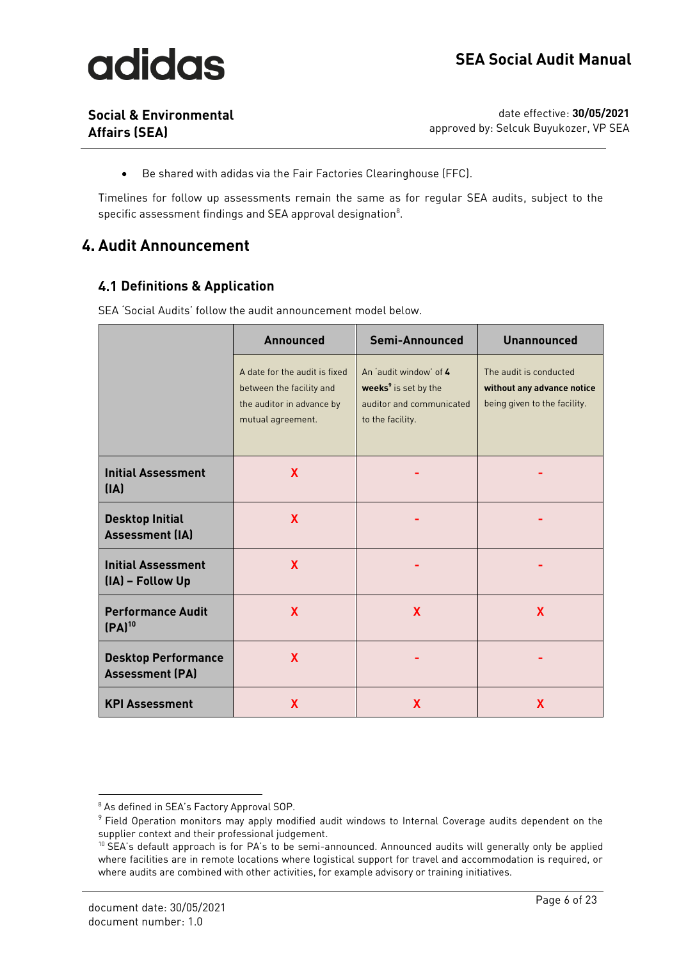

**Social & Environmental Affairs (SEA)**

date effective: **30/05/2021** approved by: Selcuk Buyukozer, VP SEA

• Be shared with adidas via the Fair Factories Clearinghouse (FFC).

Timelines for follow up assessments remain the same as for regular SEA audits, subject to the specific assessment findings and SEA approval designation $^8$ .

### <span id="page-5-0"></span>**4. Audit Announcement**

#### <span id="page-5-1"></span>**Definitions & Application**

|  | SEA 'Social Audits' follow the audit announcement model below. |  |
|--|----------------------------------------------------------------|--|
|  |                                                                |  |

|                                                      | <b>Announced</b>                                                                                            | Semi-Announced                                                                                             | <b>Unannounced</b>                                                                   |  |
|------------------------------------------------------|-------------------------------------------------------------------------------------------------------------|------------------------------------------------------------------------------------------------------------|--------------------------------------------------------------------------------------|--|
|                                                      | A date for the audit is fixed<br>between the facility and<br>the auditor in advance by<br>mutual agreement. | An 'audit window' of 4<br>weeks <sup>9</sup> is set by the<br>auditor and communicated<br>to the facility. | The audit is conducted<br>without any advance notice<br>being given to the facility. |  |
| <b>Initial Assessment</b><br>[IA]                    | X                                                                                                           |                                                                                                            |                                                                                      |  |
| <b>Desktop Initial</b><br><b>Assessment (IA)</b>     | $\mathbf{x}$                                                                                                |                                                                                                            |                                                                                      |  |
| <b>Initial Assessment</b><br>(IA) - Follow Up        | X                                                                                                           |                                                                                                            |                                                                                      |  |
| <b>Performance Audit</b><br>$[PA]^{10}$              | $\mathbf{x}$                                                                                                | $\mathbf{x}$                                                                                               | X                                                                                    |  |
| <b>Desktop Performance</b><br><b>Assessment (PA)</b> | <b>X</b>                                                                                                    |                                                                                                            |                                                                                      |  |
| <b>KPI Assessment</b>                                | X                                                                                                           | X                                                                                                          | X                                                                                    |  |

<sup>&</sup>lt;sup>8</sup> As defined in SEA's Factory Approval SOP.

 $\,9$  Field Operation monitors may apply modified audit windows to Internal Coverage audits dependent on the supplier context and their professional judgement.

<sup>&</sup>lt;sup>10</sup> SEA's default approach is for PA's to be semi-announced. Announced audits will generally only be applied where facilities are in remote locations where logistical support for travel and accommodation is required, or where audits are combined with other activities, for example advisory or training initiatives.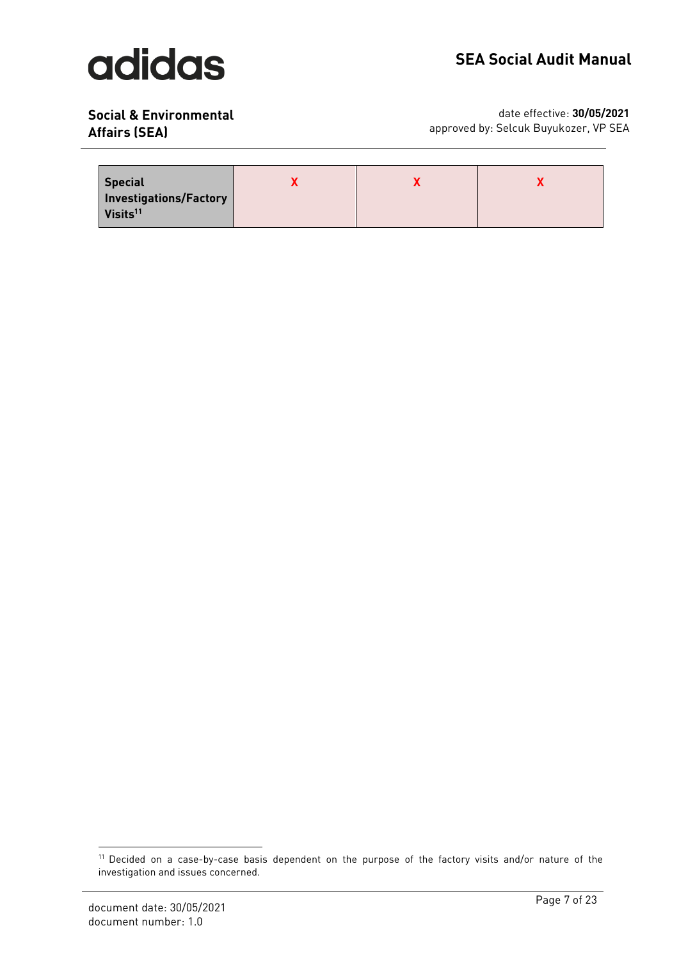## **SEA Social Audit Manual**

### **Social & Environmental Affairs (SEA)**

| <b>Special</b><br>Investigations/Factory<br>Visits <sup>11</sup> |  |  |
|------------------------------------------------------------------|--|--|
|                                                                  |  |  |

<sup>&</sup>lt;sup>11</sup> Decided on a case-by-case basis dependent on the purpose of the factory visits and/or nature of the investigation and issues concerned.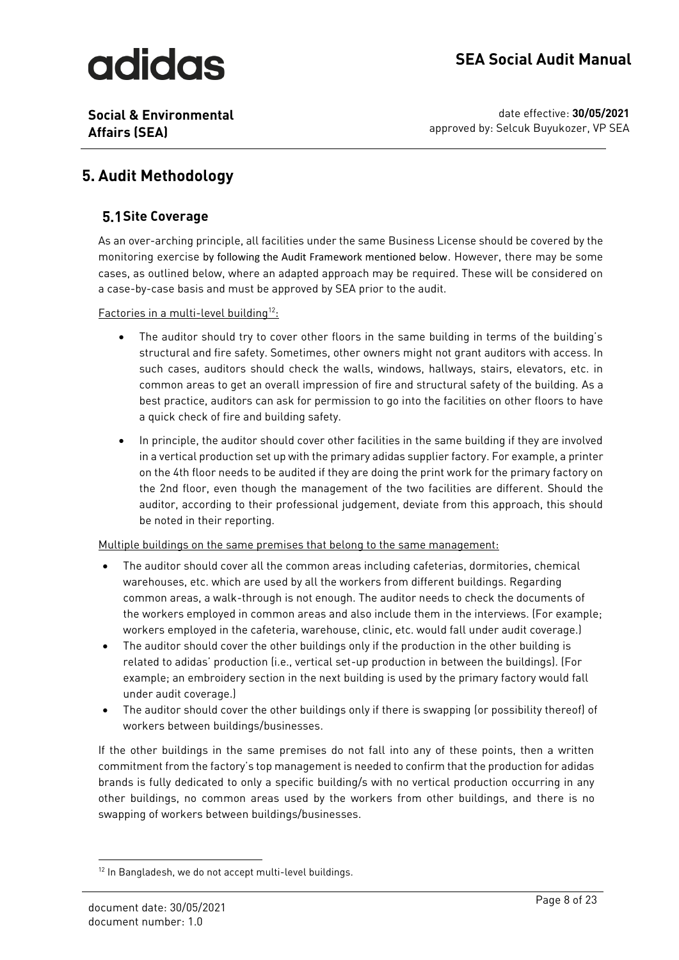# adidas

**Social & Environmental Affairs (SEA)**

date effective: **30/05/2021** approved by: Selcuk Buyukozer, VP SEA

## <span id="page-7-0"></span>**5. Audit Methodology**

### <span id="page-7-1"></span>**Site Coverage**

As an over-arching principle, all facilities under the same Business License should be covered by the monitoring exercise by following the Audit Framework mentioned below. However, there may be some cases, as outlined below, where an adapted approach may be required. These will be considered on a case-by-case basis and must be approved by SEA prior to the audit.

Factories in a multi-level building<sup>12</sup>:

- The auditor should try to cover other floors in the same building in terms of the building's structural and fire safety. Sometimes, other owners might not grant auditors with access. In such cases, auditors should check the walls, windows, hallways, stairs, elevators, etc. in common areas to get an overall impression of fire and structural safety of the building. As a best practice, auditors can ask for permission to go into the facilities on other floors to have a quick check of fire and building safety.
- In principle, the auditor should cover other facilities in the same building if they are involved in a vertical production set up with the primary adidas supplier factory. For example, a printer on the 4th floor needs to be audited if they are doing the print work for the primary factory on the 2nd floor, even though the management of the two facilities are different. Should the auditor, according to their professional judgement, deviate from this approach, this should be noted in their reporting.

Multiple buildings on the same premises that belong to the same management:

- The auditor should cover all the common areas including cafeterias, dormitories, chemical warehouses, etc. which are used by all the workers from different buildings. Regarding common areas, a walk-through is not enough. The auditor needs to check the documents of the workers employed in common areas and also include them in the interviews. (For example; workers employed in the cafeteria, warehouse, clinic, etc. would fall under audit coverage.)
- The auditor should cover the other buildings only if the production in the other building is related to adidas' production (i.e., vertical set-up production in between the buildings). (For example; an embroidery section in the next building is used by the primary factory would fall under audit coverage.)
- The auditor should cover the other buildings only if there is swapping (or possibility thereof) of workers between buildings/businesses.

If the other buildings in the same premises do not fall into any of these points, then a written commitment from the factory's top management is needed to confirm that the production for adidas brands is fully dedicated to only a specific building/s with no vertical production occurring in any other buildings, no common areas used by the workers from other buildings, and there is no swapping of workers between buildings/businesses.

<sup>&</sup>lt;sup>12</sup> In Bangladesh, we do not accept multi-level buildings.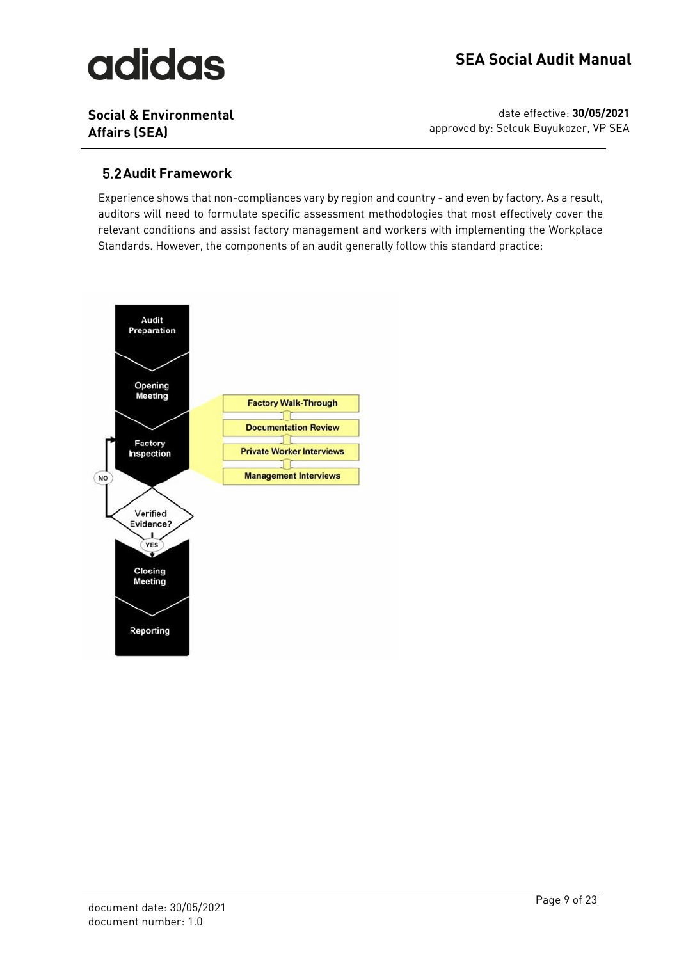# **adidas**

**Social & Environmental Affairs (SEA)**

date effective: **30/05/2021** approved by: Selcuk Buyukozer, VP SEA

### <span id="page-8-0"></span>**5.2 Audit Framework**

Experience shows that non-compliances vary by region and country - and even by factory. As a result, auditors will need to formulate specific assessment methodologies that most effectively cover the relevant conditions and assist factory management and workers with implementing the Workplace Standards. However, the components of an audit generally follow this standard practice:

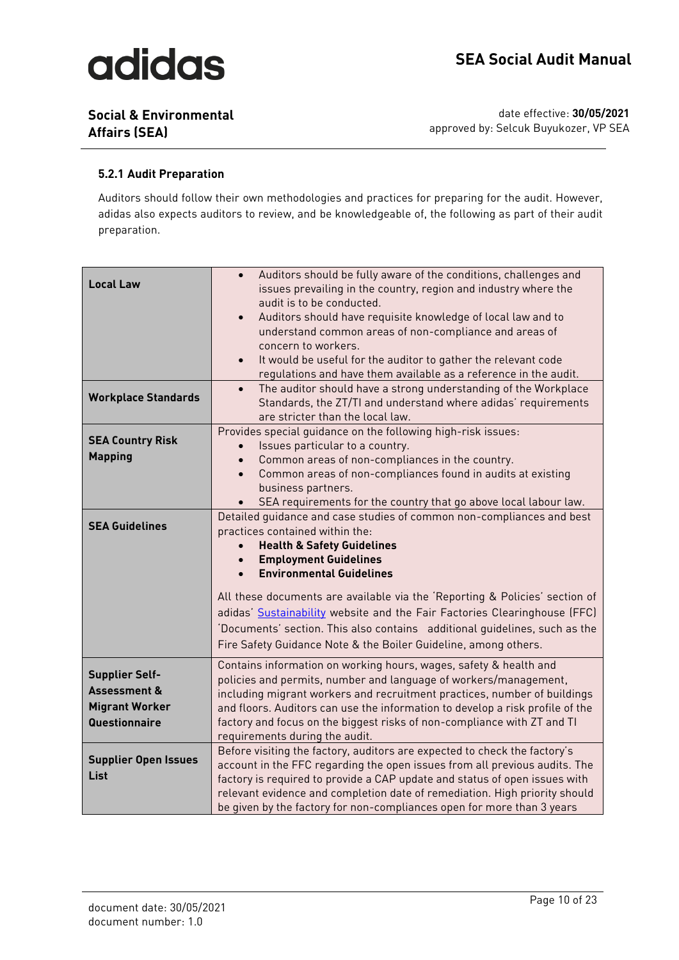**Social & Environmental Affairs (SEA)**

date effective: **30/05/2021** approved by: Selcuk Buyukozer, VP SEA

#### <span id="page-9-0"></span>**5.2.1 Audit Preparation**

Auditors should follow their own methodologies and practices for preparing for the audit. However, adidas also expects auditors to review, and be knowledgeable of, the following as part of their audit preparation.

|                             | Auditors should be fully aware of the conditions, challenges and              |
|-----------------------------|-------------------------------------------------------------------------------|
| <b>Local Law</b>            | issues prevailing in the country, region and industry where the               |
|                             | audit is to be conducted.                                                     |
|                             | Auditors should have requisite knowledge of local law and to                  |
|                             | understand common areas of non-compliance and areas of                        |
|                             | concern to workers.                                                           |
|                             | It would be useful for the auditor to gather the relevant code<br>$\bullet$   |
|                             | regulations and have them available as a reference in the audit.              |
|                             | The auditor should have a strong understanding of the Workplace<br>$\bullet$  |
| <b>Workplace Standards</b>  | Standards, the ZT/TI and understand where adidas' requirements                |
|                             | are stricter than the local law.                                              |
|                             | Provides special guidance on the following high-risk issues:                  |
| <b>SEA Country Risk</b>     | Issues particular to a country.                                               |
| <b>Mapping</b>              | Common areas of non-compliances in the country.                               |
|                             | Common areas of non-compliances found in audits at existing                   |
|                             | business partners.                                                            |
|                             | SEA requirements for the country that go above local labour law.              |
|                             | Detailed quidance and case studies of common non-compliances and best         |
| <b>SEA Guidelines</b>       | practices contained within the:                                               |
|                             | <b>Health &amp; Safety Guidelines</b>                                         |
|                             | <b>Employment Guidelines</b>                                                  |
|                             | <b>Environmental Guidelines</b>                                               |
|                             | All these documents are available via the 'Reporting & Policies' section of   |
|                             | adidas' Sustainability website and the Fair Factories Clearinghouse (FFC)     |
|                             | 'Documents' section. This also contains additional quidelines, such as the    |
|                             | Fire Safety Guidance Note & the Boiler Guideline, among others.               |
|                             |                                                                               |
|                             | Contains information on working hours, wages, safety & health and             |
| <b>Supplier Self-</b>       | policies and permits, number and language of workers/management,              |
| <b>Assessment &amp;</b>     | including migrant workers and recruitment practices, number of buildings      |
| <b>Migrant Worker</b>       | and floors. Auditors can use the information to develop a risk profile of the |
| Questionnaire               | factory and focus on the biggest risks of non-compliance with ZT and TI       |
|                             | requirements during the audit.                                                |
| <b>Supplier Open Issues</b> | Before visiting the factory, auditors are expected to check the factory's     |
|                             | account in the FFC regarding the open issues from all previous audits. The    |
| List                        | factory is required to provide a CAP update and status of open issues with    |
|                             | relevant evidence and completion date of remediation. High priority should    |
|                             | be given by the factory for non-compliances open for more than 3 years        |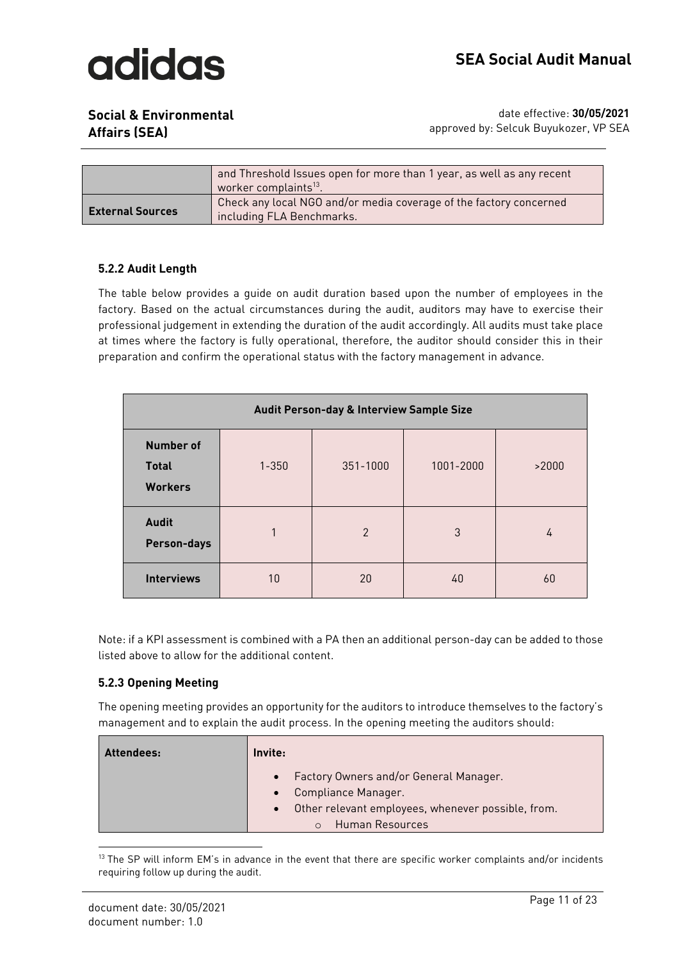

**Social & Environmental** 

|                         | and Threshold Issues open for more than 1 year, as well as any recent<br>worker complaints <sup>13</sup> . |
|-------------------------|------------------------------------------------------------------------------------------------------------|
| <b>External Sources</b> | Check any local NGO and/or media coverage of the factory concerned<br>including FLA Benchmarks.            |

#### <span id="page-10-0"></span>**5.2.2 Audit Length**

The table below provides a guide on audit duration based upon the number of employees in the factory. Based on the actual circumstances during the audit, auditors may have to exercise their professional judgement in extending the duration of the audit accordingly. All audits must take place at times where the factory is fully operational, therefore, the auditor should consider this in their preparation and confirm the operational status with the factory management in advance.

| Audit Person-day & Interview Sample Size           |           |                |           |       |
|----------------------------------------------------|-----------|----------------|-----------|-------|
| <b>Number of</b><br><b>Total</b><br><b>Workers</b> | $1 - 350$ | 351-1000       | 1001-2000 | >2000 |
| <b>Audit</b><br><b>Person-days</b>                 | 1         | $\mathfrak{p}$ | 3         | 4     |
| <b>Interviews</b>                                  | 10        | 20             | 40        | 60    |

Note: if a KPI assessment is combined with a PA then an additional person-day can be added to those listed above to allow for the additional content.

#### <span id="page-10-1"></span>**5.2.3 Opening Meeting**

The opening meeting provides an opportunity for the auditors to introduce themselves to the factory's management and to explain the audit process. In the opening meeting the auditors should:

| <b>Attendees:</b> | Invite:                                                                      |
|-------------------|------------------------------------------------------------------------------|
|                   | Factory Owners and/or General Manager.<br>$\bullet$<br>Compliance Manager.   |
|                   | Other relevant employees, whenever possible, from.<br><b>Human Resources</b> |

<sup>&</sup>lt;sup>13</sup> The SP will inform EM's in advance in the event that there are specific worker complaints and/or incidents requiring follow up during the audit.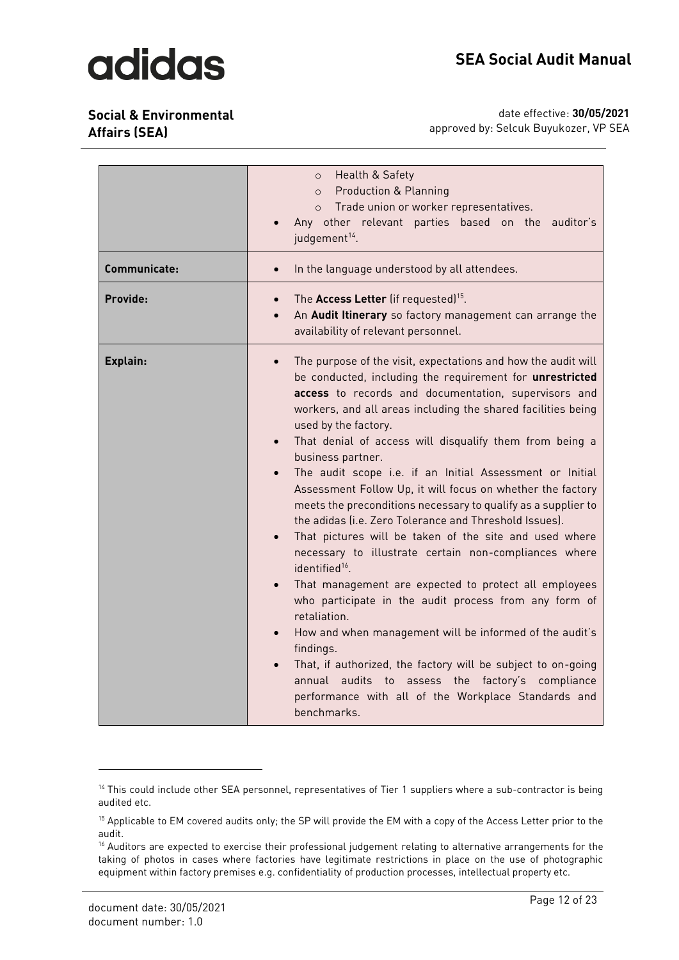**Social & Environmental Affairs (SEA)**

| Communicate: | o Health & Safety<br>o Production & Planning<br>o Trade union or worker representatives.<br>Any other relevant parties based on the auditor's<br>judgement <sup>14</sup> .<br>In the language understood by all attendees.<br>$\bullet$                                                                                                                                                                                                                                                                                                                                                                                                                                                                                                                                                                                                                                                                                                                                                                                                                                                                                                                                                                                 |
|--------------|-------------------------------------------------------------------------------------------------------------------------------------------------------------------------------------------------------------------------------------------------------------------------------------------------------------------------------------------------------------------------------------------------------------------------------------------------------------------------------------------------------------------------------------------------------------------------------------------------------------------------------------------------------------------------------------------------------------------------------------------------------------------------------------------------------------------------------------------------------------------------------------------------------------------------------------------------------------------------------------------------------------------------------------------------------------------------------------------------------------------------------------------------------------------------------------------------------------------------|
| Provide:     | The Access Letter (if requested) <sup>15</sup> .<br>$\bullet$<br>An Audit Itinerary so factory management can arrange the<br>$\bullet$<br>availability of relevant personnel.                                                                                                                                                                                                                                                                                                                                                                                                                                                                                                                                                                                                                                                                                                                                                                                                                                                                                                                                                                                                                                           |
| Explain:     | The purpose of the visit, expectations and how the audit will<br>$\bullet$<br>be conducted, including the requirement for unrestricted<br>access to records and documentation, supervisors and<br>workers, and all areas including the shared facilities being<br>used by the factory.<br>That denial of access will disqualify them from being a<br>business partner.<br>The audit scope i.e. if an Initial Assessment or Initial<br>$\bullet$<br>Assessment Follow Up, it will focus on whether the factory<br>meets the preconditions necessary to qualify as a supplier to<br>the adidas (i.e. Zero Tolerance and Threshold Issues).<br>That pictures will be taken of the site and used where<br>$\bullet$<br>necessary to illustrate certain non-compliances where<br>identified <sup>16</sup> .<br>That management are expected to protect all employees<br>who participate in the audit process from any form of<br>retaliation.<br>How and when management will be informed of the audit's<br>$\bullet$<br>findings.<br>That, if authorized, the factory will be subject to on-going<br>annual audits to assess the factory's compliance<br>performance with all of the Workplace Standards and<br>benchmarks. |

<sup>&</sup>lt;sup>14</sup> This could include other SEA personnel, representatives of Tier 1 suppliers where a sub-contractor is being audited etc.

<sup>&</sup>lt;sup>15</sup> Applicable to EM covered audits only; the SP will provide the EM with a copy of the Access Letter prior to the audit.

<sup>&</sup>lt;sup>16</sup> Auditors are expected to exercise their professional judgement relating to alternative arrangements for the taking of photos in cases where factories have legitimate restrictions in place on the use of photographic equipment within factory premises e.g. confidentiality of production processes, intellectual property etc.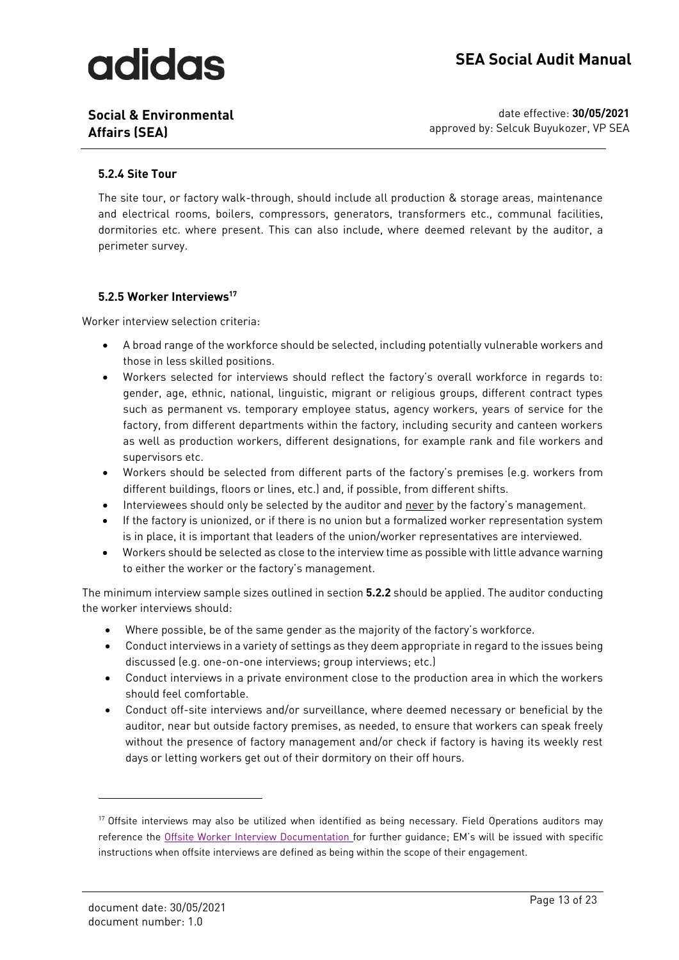**Social & Environmental Affairs (SEA)**

date effective: **30/05/2021** approved by: Selcuk Buyukozer, VP SEA

#### <span id="page-12-0"></span>**5.2.4 Site Tour**

The site tour, or factory walk-through, should include all production & storage areas, maintenance and electrical rooms, boilers, compressors, generators, transformers etc., communal facilities, dormitories etc. where present. This can also include, where deemed relevant by the auditor, a perimeter survey.

#### <span id="page-12-1"></span>**5.2.5 Worker Interviews<sup>17</sup>**

Worker interview selection criteria:

- A broad range of the workforce should be selected, including potentially vulnerable workers and those in less skilled positions.
- Workers selected for interviews should reflect the factory's overall workforce in regards to: gender, age, ethnic, national, linguistic, migrant or religious groups, different contract types such as permanent vs. temporary employee status, agency workers, years of service for the factory, from different departments within the factory, including security and canteen workers as well as production workers, different designations, for example rank and file workers and supervisors etc.
- Workers should be selected from different parts of the factory's premises (e.g. workers from different buildings, floors or lines, etc.) and, if possible, from different shifts.
- Interviewees should only be selected by the auditor and never by the factory's management.
- If the factory is unionized, or if there is no union but a formalized worker representation system is in place, it is important that leaders of the union/worker representatives are interviewed.
- Workers should be selected as close to the interview time as possible with little advance warning to either the worker or the factory's management.

The minimum interview sample sizes outlined in section **5.2.2** should be applied. The auditor conducting the worker interviews should:

- Where possible, be of the same gender as the majority of the factory's workforce.
- Conduct interviews in a variety of settings as they deem appropriate in regard to the issues being discussed (e.g. one-on-one interviews; group interviews; etc.)
- Conduct interviews in a private environment close to the production area in which the workers should feel comfortable.
- Conduct off-site interviews and/or surveillance, where deemed necessary or beneficial by the auditor, near but outside factory premises, as needed, to ensure that workers can speak freely without the presence of factory management and/or check if factory is having its weekly rest days or letting workers get out of their dormitory on their off hours.

<sup>&</sup>lt;sup>17</sup> Offsite interviews may also be utilized when identified as being necessary. Field Operations auditors may reference the [Offsite Worker Interview Documentation](https://collaboration.adidas-group.com/sites/SEA/Documents/Forms/AllItems.aspx?RootFolder=%2Fsites%2FSEA%2FDocuments%2F06%5FTraining%5FDevpt%2FWorker%20Off%2Dsite%20Interview%20Project%202015%2FTemplates%20and%20Project%20Frameworks&FolderCTID=0x012000389CD3FDB4207444AF1A2BD55FD109AD&View=%7B0FBC9A82%2D8B58%2D423E%2DA9F8%2DA7D44701D4DC%7D&InitialTabId=Ribbon%2EDocument&VisibilityContext=WSSTabPersistence) for further guidance; EM's will be issued with specific instructions when offsite interviews are defined as being within the scope of their engagement.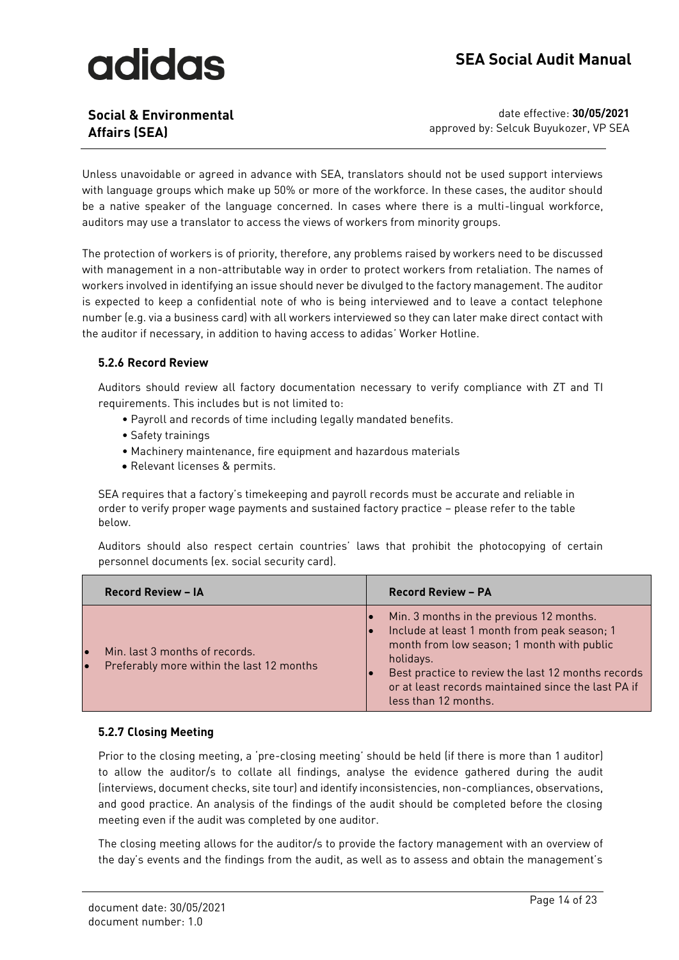### **Social & Environmental Affairs (SEA)**

date effective: **30/05/2021** approved by: Selcuk Buyukozer, VP SEA

Unless unavoidable or agreed in advance with SEA, translators should not be used support interviews with language groups which make up 50% or more of the workforce. In these cases, the auditor should be a native speaker of the language concerned. In cases where there is a multi-lingual workforce, auditors may use a translator to access the views of workers from minority groups.

The protection of workers is of priority, therefore, any problems raised by workers need to be discussed with management in a non-attributable way in order to protect workers from retaliation. The names of workers involved in identifying an issue should never be divulged to the factory management. The auditor is expected to keep a confidential note of who is being interviewed and to leave a contact telephone number (e.g. via a business card) with all workers interviewed so they can later make direct contact with the auditor if necessary, in addition to having access to adidas' Worker Hotline.

#### <span id="page-13-0"></span>**5.2.6 Record Review**

Auditors should review all factory documentation necessary to verify compliance with ZT and TI requirements. This includes but is not limited to:

- Payroll and records of time including legally mandated benefits.
- Safety trainings
- Machinery maintenance, fire equipment and hazardous materials
- Relevant licenses & permits.

SEA requires that a factory's timekeeping and payroll records must be accurate and reliable in order to verify proper wage payments and sustained factory practice – please refer to the table below.

Auditors should also respect certain countries' laws that prohibit the photocopying of certain personnel documents (ex. social security card).

| <b>Record Review - IA</b>                                                                             | <b>Record Review - PA</b>                                                                                                                                                                                                                                                                |
|-------------------------------------------------------------------------------------------------------|------------------------------------------------------------------------------------------------------------------------------------------------------------------------------------------------------------------------------------------------------------------------------------------|
| Min. last 3 months of records.<br>$\bullet$<br>Preferably more within the last 12 months<br>$\bullet$ | Min. 3 months in the previous 12 months.<br>Include at least 1 month from peak season; 1<br>month from low season; 1 month with public<br>holidays.<br>Best practice to review the last 12 months records<br>or at least records maintained since the last PA if<br>less than 12 months. |

#### <span id="page-13-1"></span>**5.2.7 Closing Meeting**

Prior to the closing meeting, a 'pre-closing meeting' should be held (if there is more than 1 auditor) to allow the auditor/s to collate all findings, analyse the evidence gathered during the audit (interviews, document checks, site tour) and identify inconsistencies, non-compliances, observations, and good practice. An analysis of the findings of the audit should be completed before the closing meeting even if the audit was completed by one auditor.

The closing meeting allows for the auditor/s to provide the factory management with an overview of the day's events and the findings from the audit, as well as to assess and obtain the management's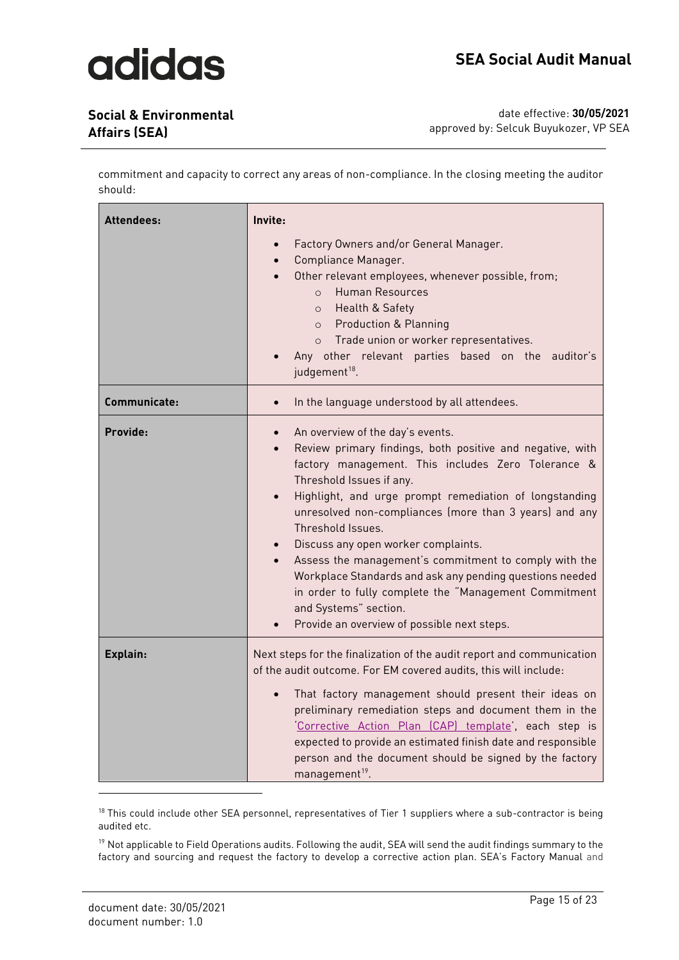### **Social & Environmental Affairs (SEA)**

date effective: **30/05/2021** approved by: Selcuk Buyukozer, VP SEA

commitment and capacity to correct any areas of non-compliance. In the closing meeting the auditor should:

| <b>Attendees:</b> | Invite:<br>Factory Owners and/or General Manager.<br>Compliance Manager.<br>$\bullet$<br>Other relevant employees, whenever possible, from;<br>$\bullet$<br>Human Resources<br>$\Omega$<br>o Health & Safety<br>o Production & Planning<br>o Trade union or worker representatives.<br>Any other relevant parties based on the auditor's<br>judgement <sup>18</sup> .                                                                                                                                                                                                                                                                           |
|-------------------|-------------------------------------------------------------------------------------------------------------------------------------------------------------------------------------------------------------------------------------------------------------------------------------------------------------------------------------------------------------------------------------------------------------------------------------------------------------------------------------------------------------------------------------------------------------------------------------------------------------------------------------------------|
| Communicate:      | In the language understood by all attendees.<br>$\bullet$                                                                                                                                                                                                                                                                                                                                                                                                                                                                                                                                                                                       |
| Provide:          | An overview of the day's events.<br>Review primary findings, both positive and negative, with<br>$\bullet$<br>factory management. This includes Zero Tolerance &<br>Threshold Issues if any.<br>Highlight, and urge prompt remediation of longstanding<br>$\bullet$<br>unresolved non-compliances (more than 3 years) and any<br>Threshold Issues.<br>Discuss any open worker complaints.<br>Assess the management's commitment to comply with the<br>Workplace Standards and ask any pending questions needed<br>in order to fully complete the "Management Commitment<br>and Systems" section.<br>Provide an overview of possible next steps. |
| Explain:          | Next steps for the finalization of the audit report and communication<br>of the audit outcome. For EM covered audits, this will include:<br>That factory management should present their ideas on<br>preliminary remediation steps and document them in the<br>Corrective Action Plan (CAP) template, each step is<br>expected to provide an estimated finish date and responsible<br>person and the document should be signed by the factory<br>management <sup>19</sup> .                                                                                                                                                                     |

<sup>18</sup> This could include other SEA personnel, representatives of Tier 1 suppliers where a sub-contractor is being audited etc.

<sup>19</sup> Not applicable to Field Operations audits. Following the audit, SEA will send the audit findings summary to the factory and sourcing and request the factory to develop a corrective action plan. SEA's Factory Manual and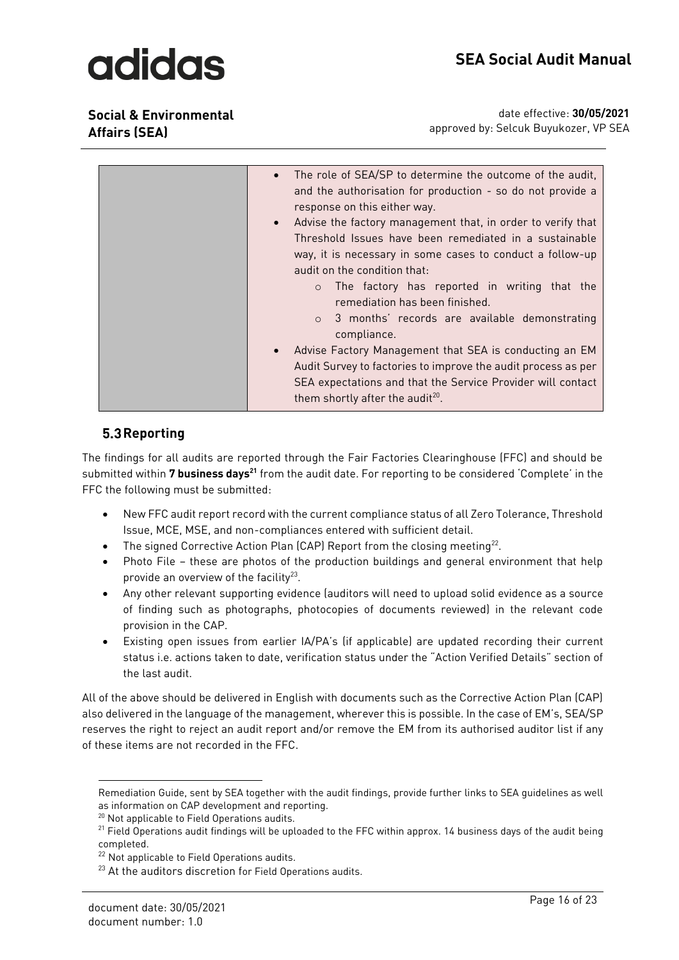**Social & Environmental Affairs (SEA)**

date effective: **30/05/2021** approved by: Selcuk Buyukozer, VP SEA

### <span id="page-15-0"></span>**5.3 Reporting**

The findings for all audits are reported through the Fair Factories Clearinghouse (FFC) and should be submitted within **7 business days<sup>21</sup>** from the audit date. For reporting to be considered 'Complete' in the FFC the following must be submitted:

- New FFC audit report record with the current compliance status of all Zero Tolerance, Threshold Issue, MCE, MSE, and non-compliances entered with sufficient detail.
- $\bullet$  The signed Corrective Action Plan (CAP) Report from the closing meeting<sup>22</sup>.
- Photo File these are photos of the production buildings and general environment that help provide an overview of the facility<sup>23</sup>.
- Any other relevant supporting evidence (auditors will need to upload solid evidence as a source of finding such as photographs, photocopies of documents reviewed) in the relevant code provision in the CAP.
- Existing open issues from earlier IA/PA's (if applicable) are updated recording their current status i.e. actions taken to date, verification status under the "Action Verified Details" section of the last audit.

All of the above should be delivered in English with documents such as the Corrective Action Plan (CAP) also delivered in the language of the management, wherever this is possible. In the case of EM's, SEA/SP reserves the right to reject an audit report and/or remove the EM from its authorised auditor list if any of these items are not recorded in the FFC.

Remediation Guide, sent by SEA together with the audit findings, provide further links to SEA guidelines as well as information on CAP development and reporting.

<sup>20</sup> Not applicable to Field Operations audits.

 $21$  Field Operations audit findings will be uploaded to the FFC within approx. 14 business days of the audit being completed.

<sup>&</sup>lt;sup>22</sup> Not applicable to Field Operations audits.

<sup>&</sup>lt;sup>23</sup> At the auditors discretion for Field Operations audits.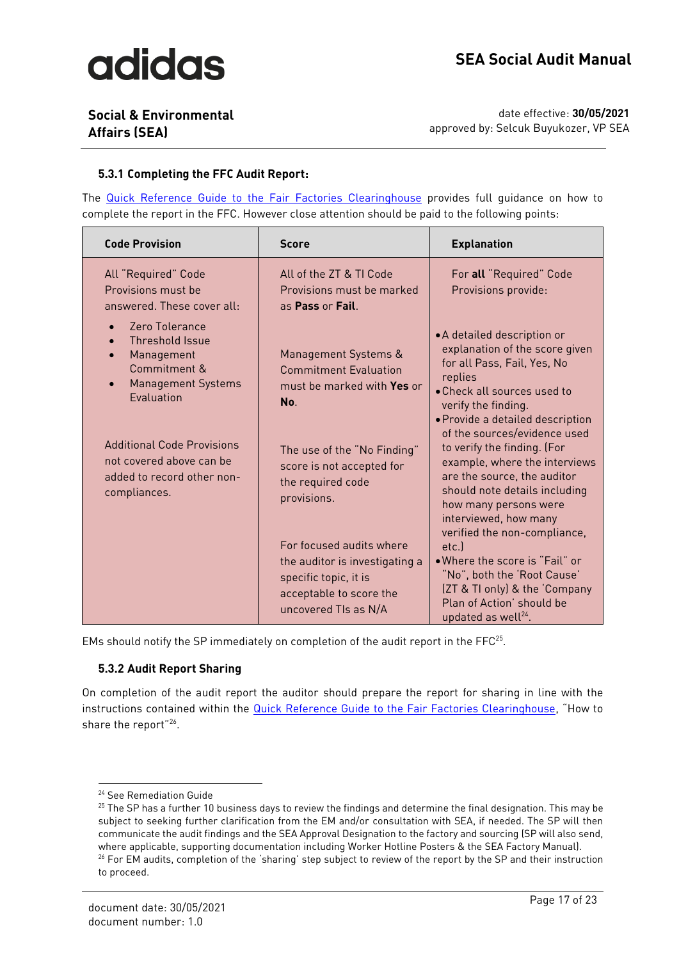### **Social & Environmental Affairs (SEA)**

date effective: **30/05/2021** approved by: Selcuk Buyukozer, VP SEA

#### <span id="page-16-0"></span>**5.3.1 Completing the FFC Audit Report:**

The [Quick Reference Guide to the Fair Factories](http://p-anonymousfolderexplorer.azurewebsites.net/#/4b1aab31-b241-467a-ac10-96d950d78999) Clearinghouse provides full guidance on how to complete the report in the FFC. However close attention should be paid to the following points:

| <b>Code Provision</b>                                                                                                                                                                           | <b>Score</b>                                                                                                             | <b>Explanation</b>                                                                                                                                                                                                                                                                                |
|-------------------------------------------------------------------------------------------------------------------------------------------------------------------------------------------------|--------------------------------------------------------------------------------------------------------------------------|---------------------------------------------------------------------------------------------------------------------------------------------------------------------------------------------------------------------------------------------------------------------------------------------------|
| All "Required" Code<br>Provisions must be<br>answered. These cover all:                                                                                                                         | All of the 7T & TI Code<br>Provisions must be marked<br>as <b>Pass</b> or <b>Fail</b>                                    | For all "Required" Code<br>Provisions provide:                                                                                                                                                                                                                                                    |
| Zero Tolerance<br>$\bullet$<br>Threshold Issue<br>Management<br>Commitment &<br><b>Management Systems</b><br><b>Fvaluation</b><br><b>Additional Code Provisions</b><br>not covered above can be | Management Systems &<br><b>Commitment Evaluation</b><br>must be marked with Yes or<br>No.<br>The use of the "No Finding" | • A detailed description or<br>explanation of the score given<br>for all Pass, Fail, Yes, No<br>replies<br>• Check all sources used to<br>verify the finding.<br>· Provide a detailed description<br>of the sources/evidence used<br>to verify the finding. (For<br>example, where the interviews |
| added to record other non-<br>compliances.                                                                                                                                                      | score is not accepted for<br>the required code<br>provisions.<br>For focused audits where                                | are the source, the auditor<br>should note details including<br>how many persons were<br>interviewed, how many<br>verified the non-compliance,                                                                                                                                                    |
|                                                                                                                                                                                                 | the auditor is investigating a<br>specific topic, it is<br>acceptable to score the<br>uncovered TIs as N/A               | etc.<br>. Where the score is "Fail" or<br>"No", both the 'Root Cause'<br>[ZT & TI only] & the 'Company<br>Plan of Action' should be<br>updated as well <sup>24</sup> .                                                                                                                            |

<span id="page-16-1"></span>EMs should notify the SP immediately on completion of the audit report in the FFC $^{25}$ .

#### **5.3.2 Audit Report Sharing**

On completion of the audit report the auditor should prepare the report for sharing in line with the instructions contained within the [Quick Reference Guide to the Fair Factories Clearinghouse](http://p-anonymousfolderexplorer.azurewebsites.net/#/4b1aab31-b241-467a-ac10-96d950d78999), "How to share the report"<sup>26</sup>.

<sup>24</sup> See Remediation Guide

 $25$  The SP has a further 10 business days to review the findings and determine the final designation. This may be subject to seeking further clarification from the EM and/or consultation with SEA, if needed. The SP will then communicate the audit findings and the SEA Approval Designation to the factory and sourcing (SP will also send, where applicable, supporting documentation including Worker Hotline Posters & the SEA Factory Manual). <sup>26</sup> For EM audits, completion of the 'sharing' step subject to review of the report by the SP and their instruction to proceed.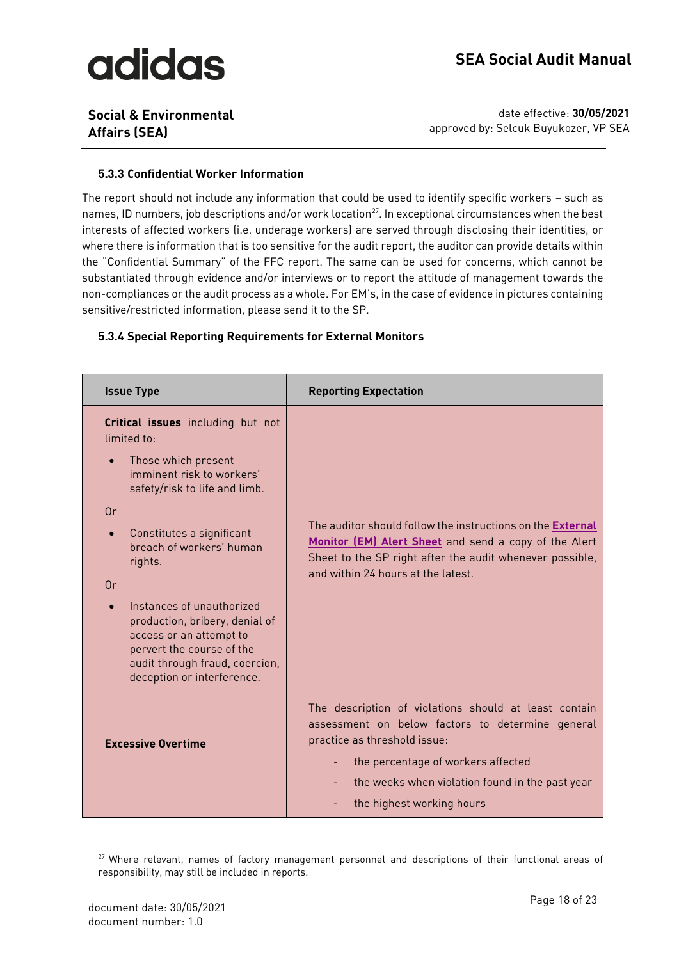### **Social & Environmental Affairs (SEA)**

date effective: **30/05/2021** approved by: Selcuk Buyukozer, VP SEA

#### <span id="page-17-0"></span>**5.3.3 Confidential Worker Information**

The report should not include any information that could be used to identify specific workers – such as names, ID numbers, job descriptions and/or work location<sup>27</sup>. In exceptional circumstances when the best interests of affected workers (i.e. underage workers) are served through disclosing their identities, or where there is information that is too sensitive for the audit report, the auditor can provide details within the "Confidential Summary" of the FFC report. The same can be used for concerns, which cannot be substantiated through evidence and/or interviews or to report the attitude of management towards the non-compliances or the audit process as a whole. For EM's, in the case of evidence in pictures containing sensitive/restricted information, please send it to the SP.

#### <span id="page-17-1"></span>**5.3.4 Special Reporting Requirements for External Monitors**

| <b>Issue Type</b>                                                                                                                                                                                                                                                                                                                                                                                                                     | <b>Reporting Expectation</b>                                                                                                                                                                                                                                          |
|---------------------------------------------------------------------------------------------------------------------------------------------------------------------------------------------------------------------------------------------------------------------------------------------------------------------------------------------------------------------------------------------------------------------------------------|-----------------------------------------------------------------------------------------------------------------------------------------------------------------------------------------------------------------------------------------------------------------------|
| Critical issues including but not<br>limited to<br>Those which present<br>$\bullet$<br>imminent risk to workers'<br>safety/risk to life and limb.<br>0r<br>Constitutes a significant<br>$\bullet$<br>breach of workers' human<br>rights.<br>0r<br>Instances of unauthorized<br>production, bribery, denial of<br>access or an attempt to<br>pervert the course of the<br>audit through fraud, coercion,<br>deception or interference. | The auditor should follow the instructions on the External<br>Monitor (EM) Alert Sheet and send a copy of the Alert<br>Sheet to the SP right after the audit whenever possible,<br>and within 24 hours at the latest.                                                 |
| <b>Excessive Overtime</b>                                                                                                                                                                                                                                                                                                                                                                                                             | The description of violations should at least contain<br>assessment on below factors to determine general<br>practice as threshold issue:<br>the percentage of workers affected<br>۰.<br>the weeks when violation found in the past year<br>the highest working hours |

<sup>&</sup>lt;sup>27</sup> Where relevant, names of factory management personnel and descriptions of their functional areas of responsibility, may still be included in reports.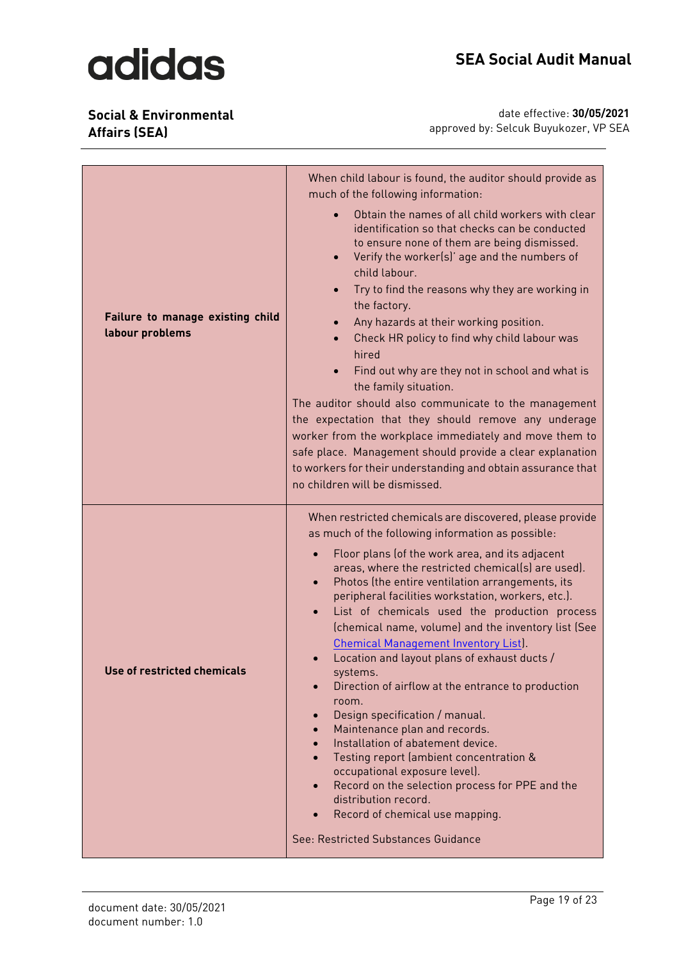**Social & Environmental Affairs (SEA)**

| Failure to manage existing child<br>labour problems | When child labour is found, the auditor should provide as<br>much of the following information:<br>Obtain the names of all child workers with clear<br>identification so that checks can be conducted<br>to ensure none of them are being dismissed.<br>Verify the worker(s)' age and the numbers of<br>child labour.<br>Try to find the reasons why they are working in<br>the factory.<br>Any hazards at their working position.<br>$\bullet$<br>Check HR policy to find why child labour was<br>$\bullet$<br>hired<br>Find out why are they not in school and what is<br>the family situation.<br>The auditor should also communicate to the management<br>the expectation that they should remove any underage<br>worker from the workplace immediately and move them to<br>safe place. Management should provide a clear explanation<br>to workers for their understanding and obtain assurance that<br>no children will be dismissed.                                                        |
|-----------------------------------------------------|----------------------------------------------------------------------------------------------------------------------------------------------------------------------------------------------------------------------------------------------------------------------------------------------------------------------------------------------------------------------------------------------------------------------------------------------------------------------------------------------------------------------------------------------------------------------------------------------------------------------------------------------------------------------------------------------------------------------------------------------------------------------------------------------------------------------------------------------------------------------------------------------------------------------------------------------------------------------------------------------------|
| Use of restricted chemicals                         | When restricted chemicals are discovered, please provide<br>as much of the following information as possible:<br>Floor plans (of the work area, and its adjacent<br>areas, where the restricted chemical(s) are used).<br>Photos (the entire ventilation arrangements, its<br>$\bullet$<br>peripheral facilities workstation, workers, etc.).<br>List of chemicals used the production process<br>(chemical name, volume) and the inventory list (See<br><b>Chemical Management Inventory List).</b><br>Location and layout plans of exhaust ducts /<br>systems.<br>Direction of airflow at the entrance to production<br>room.<br>Design specification / manual.<br>Maintenance plan and records.<br>Installation of abatement device.<br>Testing report (ambient concentration &<br>occupational exposure level).<br>Record on the selection process for PPE and the<br>$\bullet$<br>distribution record.<br>Record of chemical use mapping.<br>$\bullet$<br>See: Restricted Substances Guidance |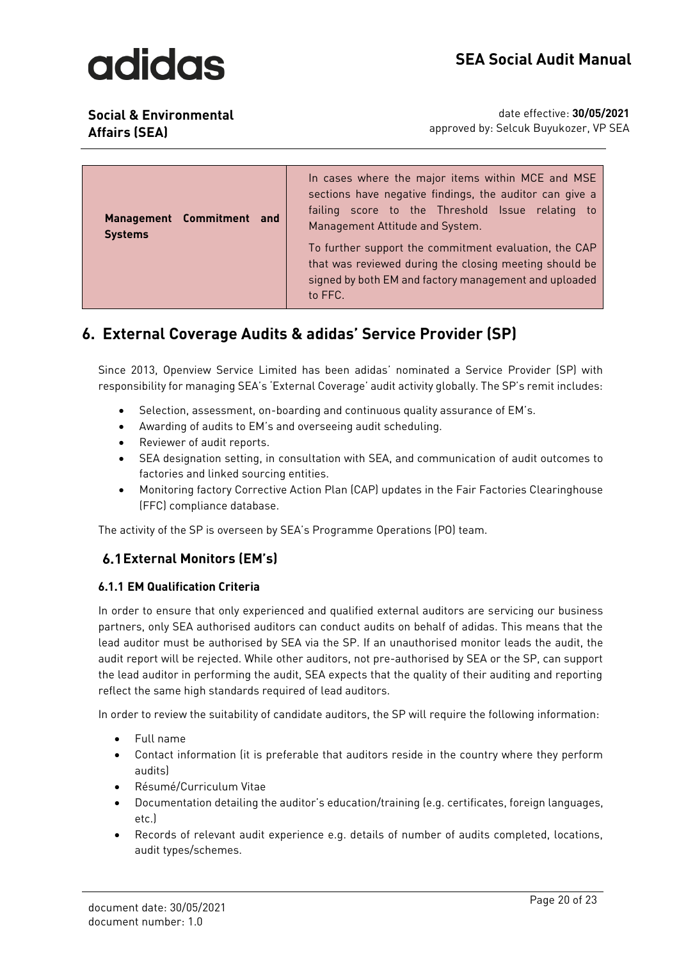

**Social & Environmental Affairs (SEA)**

| Management Commitment and<br><b>Systems</b> | In cases where the major items within MCE and MSE<br>sections have negative findings, the auditor can give a<br>failing score to the Threshold Issue relating to<br>Management Attitude and System.<br>To further support the commitment evaluation, the CAP<br>that was reviewed during the closing meeting should be<br>signed by both EM and factory management and uploaded<br>to FFC. |
|---------------------------------------------|--------------------------------------------------------------------------------------------------------------------------------------------------------------------------------------------------------------------------------------------------------------------------------------------------------------------------------------------------------------------------------------------|
|---------------------------------------------|--------------------------------------------------------------------------------------------------------------------------------------------------------------------------------------------------------------------------------------------------------------------------------------------------------------------------------------------------------------------------------------------|

### <span id="page-19-0"></span>**6. External Coverage Audits & adidas' Service Provider (SP)**

Since 2013, Openview Service Limited has been adidas' nominated a Service Provider (SP) with responsibility for managing SEA's 'External Coverage' audit activity globally. The SP's remit includes:

- Selection, assessment, on-boarding and continuous quality assurance of EM's.
- Awarding of audits to EM's and overseeing audit scheduling.
- Reviewer of audit reports.
- SEA designation setting, in consultation with SEA, and communication of audit outcomes to factories and linked sourcing entities.
- Monitoring factory Corrective Action Plan (CAP) updates in the Fair Factories Clearinghouse (FFC) compliance database.

The activity of the SP is overseen by SEA's Programme Operations (PO) team.

#### <span id="page-19-1"></span>**External Monitors (EM's)**

#### <span id="page-19-2"></span>**6.1.1 EM Qualification Criteria**

In order to ensure that only experienced and qualified external auditors are servicing our business partners, only SEA authorised auditors can conduct audits on behalf of adidas. This means that the lead auditor must be authorised by SEA via the SP. If an unauthorised monitor leads the audit, the audit report will be rejected. While other auditors, not pre-authorised by SEA or the SP, can support the lead auditor in performing the audit, SEA expects that the quality of their auditing and reporting reflect the same high standards required of lead auditors.

In order to review the suitability of candidate auditors, the SP will require the following information:

- Full name
- Contact information (it is preferable that auditors reside in the country where they perform audits)
- Ré sumé /Curriculum Vitae
- Documentation detailing the auditor's education/training (e.g. certificates, foreign languages, etc.)
- Records of relevant audit experience e.g. details of number of audits completed, locations, audit types/schemes.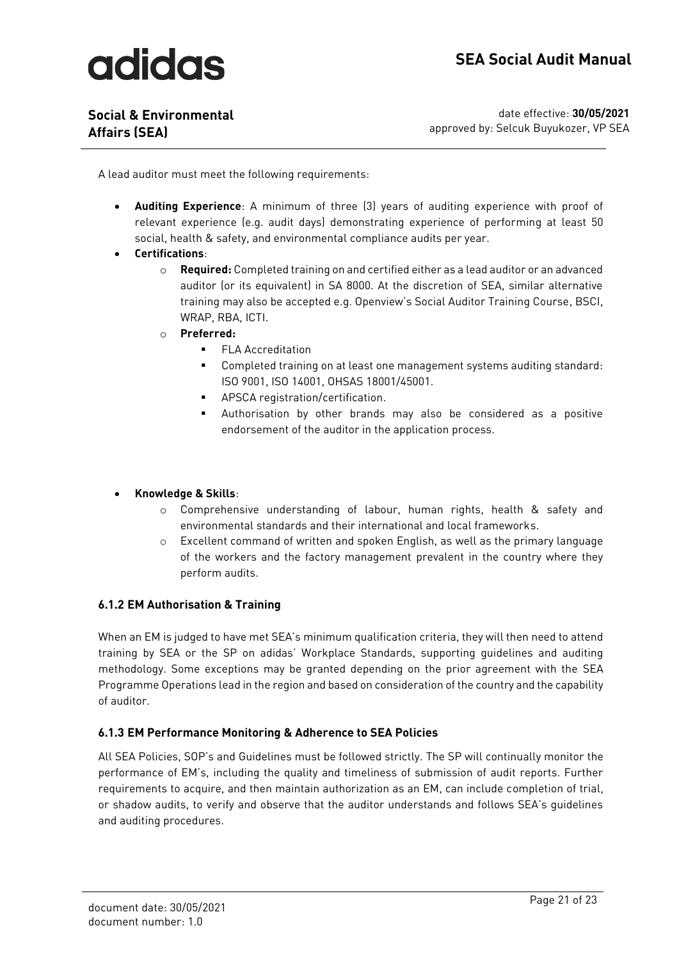**Social & Environmental Affairs (SEA)**

date effective: **30/05/2021** approved by: Selcuk Buyukozer, VP SEA

A lead auditor must meet the following requirements:

- **Auditing Experience**: A minimum of three (3) years of auditing experience with proof of relevant experience (e.g. audit days) demonstrating experience of performing at least 50 social, health & safety, and environmental compliance audits per year.
- **Certifications**:
	- o **Required:** Completed training on and certified either as a lead auditor or an advanced auditor (or its equivalent) in SA 8000. At the discretion of SEA, similar alternative training may also be accepted e.g. Openview's Social Auditor Training Course, BSCI, WRAP, RBA, ICTI.
	- o **Preferred:**
		- FLA Accreditation
		- Completed training on at least one management systems auditing standard: ISO 9001, ISO 14001, OHSAS 18001/45001.
		- APSCA registration/certification.
		- Authorisation by other brands may also be considered as a positive endorsement of the auditor in the application process.

#### • **Knowledge & Skills**:

- o Comprehensive understanding of labour, human rights, health & safety and environmental standards and their international and local frameworks.
- o Excellent command of written and spoken English, as well as the primary language of the workers and the factory management prevalent in the country where they perform audits.

#### <span id="page-20-0"></span>**6.1.2 EM Authorisation & Training**

When an EM is judged to have met SEA's minimum qualification criteria, they will then need to attend training by SEA or the SP on adidas' Workplace Standards, supporting guidelines and auditing methodology. Some exceptions may be granted depending on the prior agreement with the SEA Programme Operations lead in the region and based on consideration of the country and the capability of auditor.

#### <span id="page-20-1"></span>**6.1.3 EM Performance Monitoring & Adherence to SEA Policies**

All SEA Policies, SOP's and Guidelines must be followed strictly. The SP will continually monitor the performance of EM's, including the quality and timeliness of submission of audit reports. Further requirements to acquire, and then maintain authorization as an EM, can include completion of trial, or shadow audits, to verify and observe that the auditor understands and follows SEA's guidelines and auditing procedures.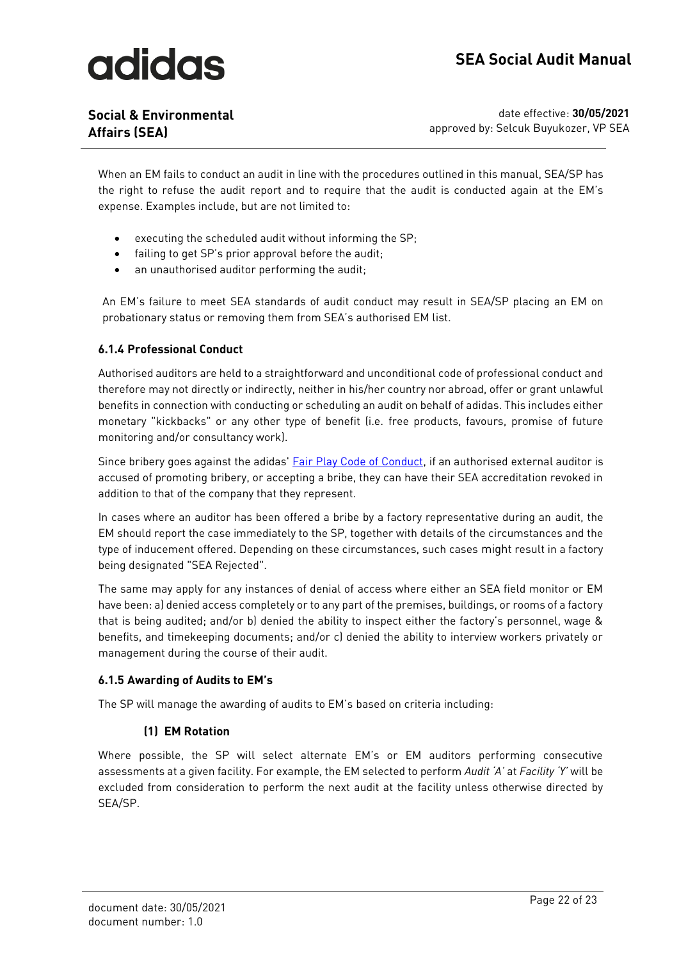**Social & Environmental Affairs (SEA)**

date effective: **30/05/2021** approved by: Selcuk Buyukozer, VP SEA

When an EM fails to conduct an audit in line with the procedures outlined in this manual, SEA/SP has the right to refuse the audit report and to require that the audit is conducted again at the EM's expense. Examples include, but are not limited to:

- executing the scheduled audit without informing the SP;
- failing to get SP's prior approval before the audit;
- an unauthorised auditor performing the audit;

An EM's failure to meet SEA standards of audit conduct may result in SEA/SP placing an EM on probationary status or removing them from SEA's authorised EM list.

#### <span id="page-21-0"></span>**6.1.4 Professional Conduct**

Authorised auditors are held to a straightforward and unconditional code of professional conduct and therefore may not directly or indirectly, neither in his/her country nor abroad, offer or grant unlawful benefits in connection with conducting or scheduling an audit on behalf of adidas. This includes either monetary "kickbacks" or any other type of benefit (i.e. free products, favours, promise of future monitoring and/or consultancy work).

Since bribery goes against the adidas' [Fair Play Code of Conduct,](https://www.adidas-group.com/media/filer_public/d9/05/d9051875-01f3-4d17-a98b-31017b9d97ed/adidas_fair_play_code_of_conduct_english.pdf) if an authorised external auditor is accused of promoting bribery, or accepting a bribe, they can have their SEA accreditation revoked in addition to that of the company that they represent.

In cases where an auditor has been offered a bribe by a factory representative during an audit, the EM should report the case immediately to the SP, together with details of the circumstances and the type of inducement offered. Depending on these circumstances, such cases might result in a factory being designated "SEA Rejected".

The same may apply for any instances of denial of access where either an SEA field monitor or EM have been: a) denied access completely or to any part of the premises, buildings, or rooms of a factory that is being audited; and/or b) denied the ability to inspect either the factory's personnel, wage & benefits, and timekeeping documents; and/or c) denied the ability to interview workers privately or management during the course of their audit.

#### <span id="page-21-1"></span>**6.1.5 Awarding of Audits to EM's**

The SP will manage the awarding of audits to EM's based on criteria including:

#### **(1) EM Rotation**

Where possible, the SP will select alternate EM's or EM auditors performing consecutive assessments at a given facility. For example, the EM selected to perform *Audit 'A'* at *Facility 'Y'* will be excluded from consideration to perform the next audit at the facility unless otherwise directed by SEA/SP.